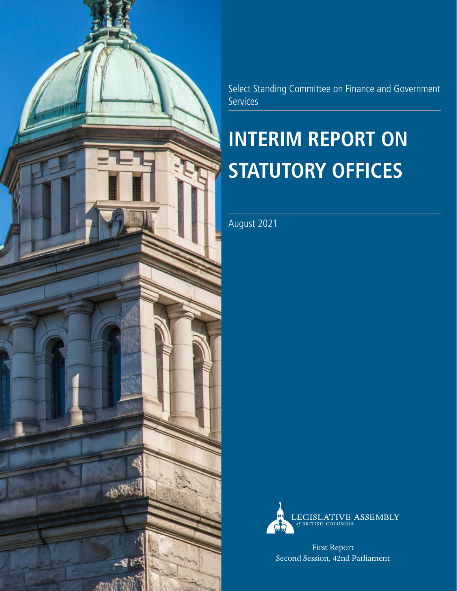

Select Standing Committee on Finance and Government **Services** 

### **INTERIM REPORT ON STATUTORY OFFICES**

August 2021



First Report Second Session, 42nd Parliament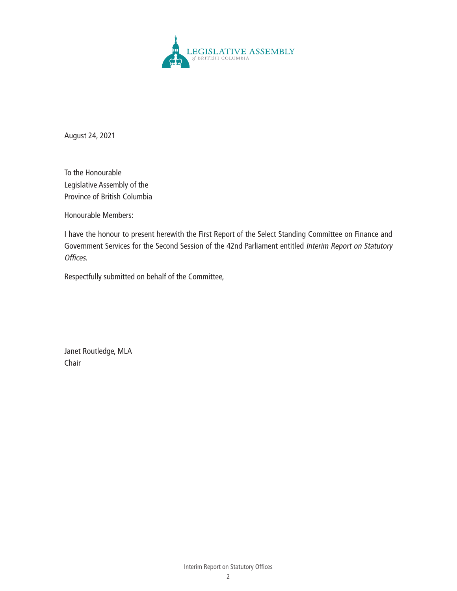

August 24, 2021

To the Honourable Legislative Assembly of the Province of British Columbia

Honourable Members:

I have the honour to present herewith the First Report of the Select Standing Committee on Finance and Government Services for the Second Session of the 42nd Parliament entitled Interim Report on Statutory Offices.

Respectfully submitted on behalf of the Committee,

Janet Routledge, MLA Chair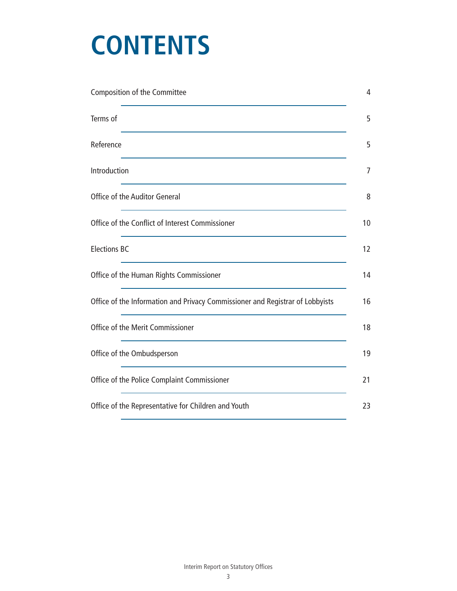### **CONTENTS**

| Composition of the Committee                                                  | 4  |
|-------------------------------------------------------------------------------|----|
| Terms of                                                                      | 5  |
| Reference                                                                     | 5  |
| Introduction                                                                  | 7  |
| Office of the Auditor General                                                 | 8  |
| Office of the Conflict of Interest Commissioner                               | 10 |
| <b>Elections BC</b>                                                           | 12 |
| Office of the Human Rights Commissioner                                       | 14 |
| Office of the Information and Privacy Commissioner and Registrar of Lobbyists | 16 |
| Office of the Merit Commissioner                                              | 18 |
| Office of the Ombudsperson                                                    | 19 |
| Office of the Police Complaint Commissioner                                   | 21 |
| Office of the Representative for Children and Youth                           | 23 |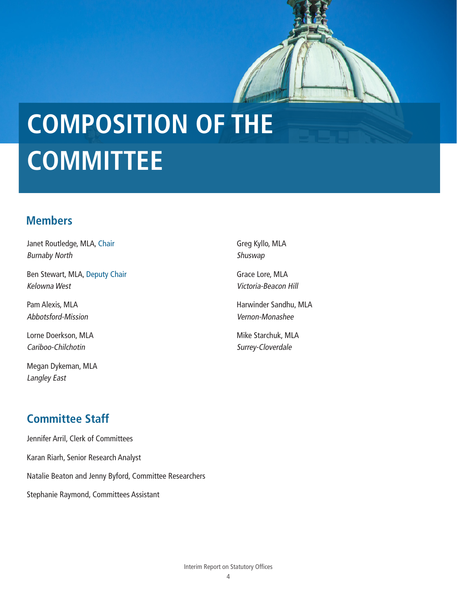# <span id="page-3-0"></span>**COMPOSITION OF THE COMMITTEE**

#### **Members**

Janet Routledge, MLA, Chair Burnaby North

Ben Stewart, MLA, Deputy Chair Kelowna West

Pam Alexis, MLA Abbotsford-Mission

Lorne Doerkson, MLA Cariboo-Chilchotin

Megan Dykeman, MLA Langley East

Greg Kyllo, MLA Shuswap

Grace Lore, MLA Victoria-Beacon Hill

Harwinder Sandhu, MLA Vernon-Monashee

Mike Starchuk, MLA Surrey-Cloverdale

### **Committee Staff**

Jennifer Arril, Clerk of Committees Karan Riarh, Senior Research Analyst Natalie Beaton and Jenny Byford, Committee Researchers Stephanie Raymond, Committees Assistant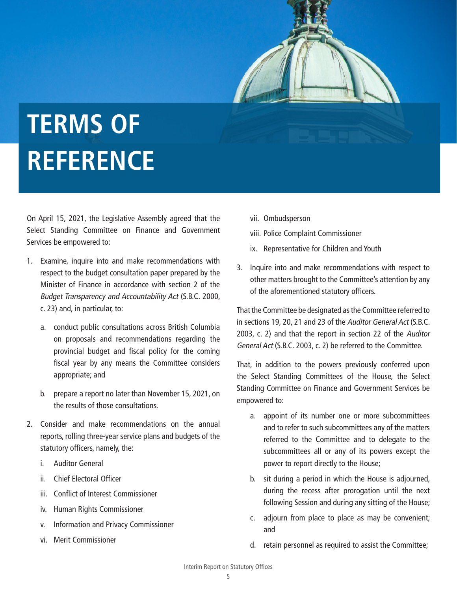## <span id="page-4-0"></span>**TERMS OF REFERENCE**

On April 15, 2021, the Legislative Assembly agreed that the Select Standing Committee on Finance and Government Services be empowered to:

- 1. Examine, inquire into and make recommendations with respect to the budget consultation paper prepared by the Minister of Finance in accordance with section 2 of the Budget Transparency and Accountability Act (S.B.C. 2000, c. 23) and, in particular, to:
	- a. conduct public consultations across British Columbia on proposals and recommendations regarding the provincial budget and fiscal policy for the coming fiscal year by any means the Committee considers appropriate; and
	- b. prepare a report no later than November 15, 2021, on the results of those consultations.
- 2. Consider and make recommendations on the annual reports, rolling three-year service plans and budgets of the statutory officers, namely, the:
	- i. Auditor General
	- ii. Chief Electoral Officer
	- iii. Conflict of Interest Commissioner
	- iv. Human Rights Commissioner
	- v. Information and Privacy Commissioner
	- vi. Merit Commissioner
- vii. Ombudsperson
- viii. Police Complaint Commissioner
- ix. Representative for Children and Youth
- 3. Inquire into and make recommendations with respect to other matters brought to the Committee's attention by any of the aforementioned statutory officers.

That the Committee be designated as the Committee referred to in sections 19, 20, 21 and 23 of the Auditor General Act (S.B.C. 2003, c. 2) and that the report in section 22 of the Auditor General Act (S.B.C. 2003, c. 2) be referred to the Committee.

That, in addition to the powers previously conferred upon the Select Standing Committees of the House, the Select Standing Committee on Finance and Government Services be empowered to:

- a. appoint of its number one or more subcommittees and to refer to such subcommittees any of the matters referred to the Committee and to delegate to the subcommittees all or any of its powers except the power to report directly to the House;
- b. sit during a period in which the House is adjourned, during the recess after prorogation until the next following Session and during any sitting of the House;
- c. adjourn from place to place as may be convenient; and
- d. retain personnel as required to assist the Committee;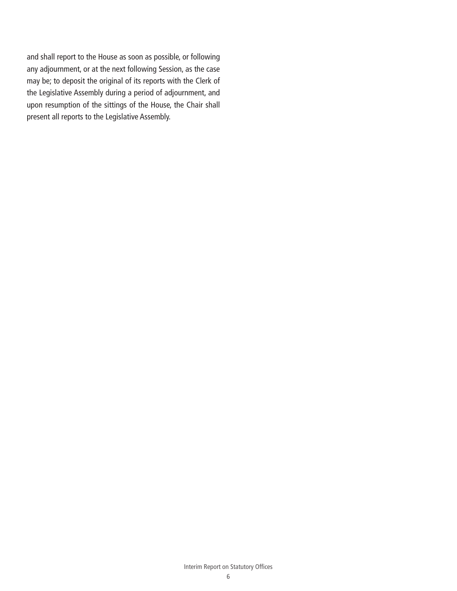and shall report to the House as soon as possible, or following any adjournment, or at the next following Session, as the case may be; to deposit the original of its reports with the Clerk of the Legislative Assembly during a period of adjournment, and upon resumption of the sittings of the House, the Chair shall present all reports to the Legislative Assembly.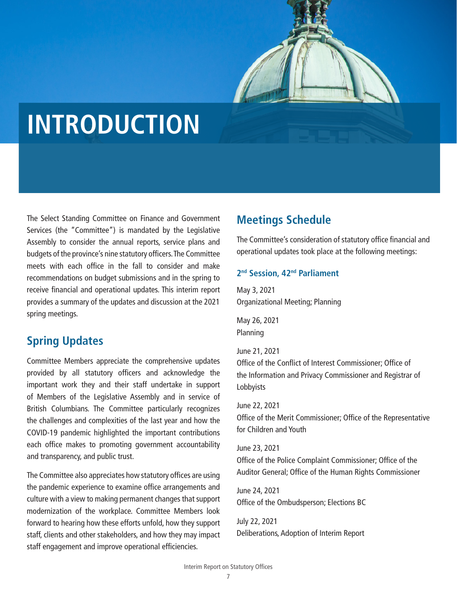

### <span id="page-6-0"></span>**INTRODUCTION**

The Select Standing Committee on Finance and Government Services (the "Committee") is mandated by the Legislative Assembly to consider the annual reports, service plans and budgets of the province's nine statutory officers. The Committee meets with each office in the fall to consider and make recommendations on budget submissions and in the spring to receive financial and operational updates. This interim report provides a summary of the updates and discussion at the 2021 spring meetings.

#### **Spring Updates**

Committee Members appreciate the comprehensive updates provided by all statutory officers and acknowledge the important work they and their staff undertake in support of Members of the Legislative Assembly and in service of British Columbians. The Committee particularly recognizes the challenges and complexities of the last year and how the COVID-19 pandemic highlighted the important contributions each office makes to promoting government accountability and transparency, and public trust.

The Committee also appreciates how statutory offices are using the pandemic experience to examine office arrangements and culture with a view to making permanent changes that support modernization of the workplace. Committee Members look forward to hearing how these efforts unfold, how they support staff, clients and other stakeholders, and how they may impact staff engagement and improve operational efficiencies.

#### **Meetings Schedule**

The Committee's consideration of statutory office financial and operational updates took place at the following meetings:

#### **2nd Session, 42nd Parliament**

May 3, 2021 Organizational Meeting; Planning

May 26, 2021 Planning

June 21, 2021 Office of the Conflict of Interest Commissioner; Office of the Information and Privacy Commissioner and Registrar of Lobbyists

June 22, 2021 Office of the Merit Commissioner; Office of the Representative for Children and Youth

June 23, 2021 Office of the Police Complaint Commissioner; Office of the Auditor General; Office of the Human Rights Commissioner

June 24, 2021 Office of the Ombudsperson; Elections BC

July 22, 2021 Deliberations, Adoption of Interim Report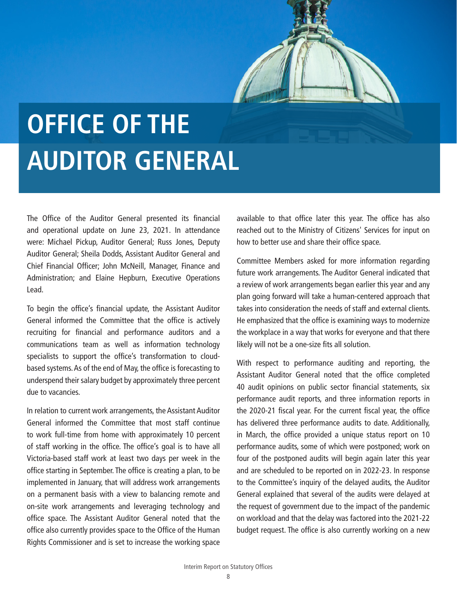## <span id="page-7-0"></span>**OFFICE OF THE AUDITOR GENERAL**

The Office of the Auditor General presented its financial and operational update on June 23, 2021. In attendance were: Michael Pickup, Auditor General; Russ Jones, Deputy Auditor General; Sheila Dodds, Assistant Auditor General and Chief Financial Officer; John McNeill, Manager, Finance and Administration; and Elaine Hepburn, Executive Operations Lead.

To begin the office's financial update, the Assistant Auditor General informed the Committee that the office is actively recruiting for financial and performance auditors and a communications team as well as information technology specialists to support the office's transformation to cloudbased systems. As of the end of May, the office is forecasting to underspend their salary budget by approximately three percent due to vacancies.

In relation to current work arrangements, the Assistant Auditor General informed the Committee that most staff continue to work full-time from home with approximately 10 percent of staff working in the office. The office's goal is to have all Victoria-based staff work at least two days per week in the office starting in September. The office is creating a plan, to be implemented in January, that will address work arrangements on a permanent basis with a view to balancing remote and on-site work arrangements and leveraging technology and office space. The Assistant Auditor General noted that the office also currently provides space to the Office of the Human Rights Commissioner and is set to increase the working space

available to that office later this year. The office has also reached out to the Ministry of Citizens' Services for input on how to better use and share their office space.

Committee Members asked for more information regarding future work arrangements. The Auditor General indicated that a review of work arrangements began earlier this year and any plan going forward will take a human-centered approach that takes into consideration the needs of staff and external clients. He emphasized that the office is examining ways to modernize the workplace in a way that works for everyone and that there likely will not be a one-size fits all solution.

With respect to performance auditing and reporting, the Assistant Auditor General noted that the office completed 40 audit opinions on public sector financial statements, six performance audit reports, and three information reports in the 2020-21 fiscal year. For the current fiscal year, the office has delivered three performance audits to date. Additionally, in March, the office provided a unique status report on 10 performance audits, some of which were postponed; work on four of the postponed audits will begin again later this year and are scheduled to be reported on in 2022-23. In response to the Committee's inquiry of the delayed audits, the Auditor General explained that several of the audits were delayed at the request of government due to the impact of the pandemic on workload and that the delay was factored into the 2021-22 budget request. The office is also currently working on a new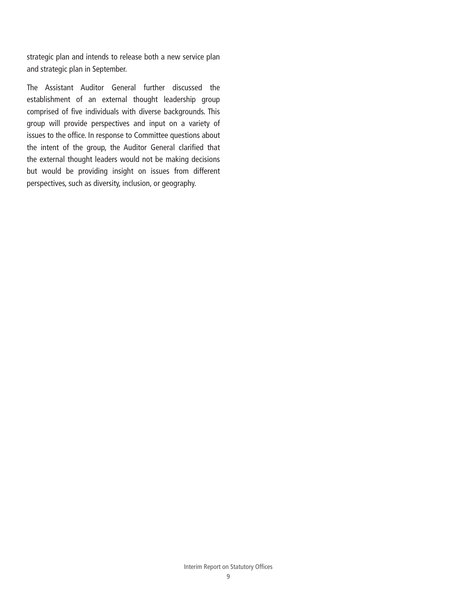strategic plan and intends to release both a new service plan and strategic plan in September.

The Assistant Auditor General further discussed the establishment of an external thought leadership group comprised of five individuals with diverse backgrounds. This group will provide perspectives and input on a variety of issues to the office. In response to Committee questions about the intent of the group, the Auditor General clarified that the external thought leaders would not be making decisions but would be providing insight on issues from different perspectives, such as diversity, inclusion, or geography.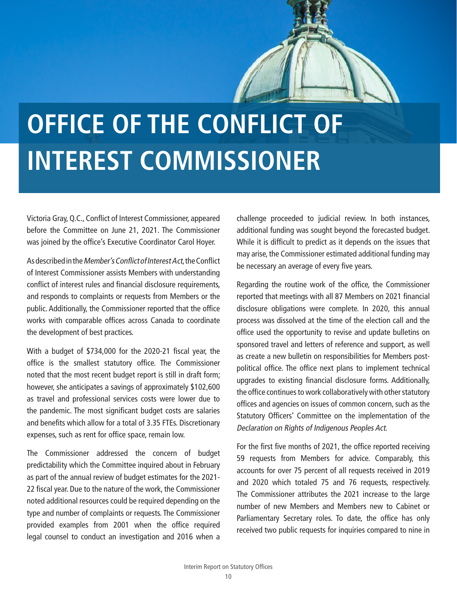# <span id="page-9-0"></span>**OFFICE OF THE CONFLICT OF INTEREST COMMISSIONER**

Victoria Gray, Q.C., Conflict of Interest Commissioner, appeared before the Committee on June 21, 2021. The Commissioner was joined by the office's Executive Coordinator Carol Hoyer.

As described in the Member's Conflict of Interest Act, the Conflict of Interest Commissioner assists Members with understanding conflict of interest rules and financial disclosure requirements, and responds to complaints or requests from Members or the public. Additionally, the Commissioner reported that the office works with comparable offices across Canada to coordinate the development of best practices.

With a budget of \$734,000 for the 2020-21 fiscal year, the office is the smallest statutory office. The Commissioner noted that the most recent budget report is still in draft form; however, she anticipates a savings of approximately \$102,600 as travel and professional services costs were lower due to the pandemic. The most significant budget costs are salaries and benefits which allow for a total of 3.35 FTEs. Discretionary expenses, such as rent for office space, remain low.

The Commissioner addressed the concern of budget predictability which the Committee inquired about in February as part of the annual review of budget estimates for the 2021- 22 fiscal year. Due to the nature of the work, the Commissioner noted additional resources could be required depending on the type and number of complaints or requests. The Commissioner provided examples from 2001 when the office required legal counsel to conduct an investigation and 2016 when a

challenge proceeded to judicial review. In both instances, additional funding was sought beyond the forecasted budget. While it is difficult to predict as it depends on the issues that may arise, the Commissioner estimated additional funding may be necessary an average of every five years.

Regarding the routine work of the office, the Commissioner reported that meetings with all 87 Members on 2021 financial disclosure obligations were complete. In 2020, this annual process was dissolved at the time of the election call and the office used the opportunity to revise and update bulletins on sponsored travel and letters of reference and support, as well as create a new bulletin on responsibilities for Members postpolitical office. The office next plans to implement technical upgrades to existing financial disclosure forms. Additionally, the office continues to work collaboratively with other statutory offices and agencies on issues of common concern, such as the Statutory Officers' Committee on the implementation of the Declaration on Rights of Indigenous Peoples Act.

For the first five months of 2021, the office reported receiving 59 requests from Members for advice. Comparably, this accounts for over 75 percent of all requests received in 2019 and 2020 which totaled 75 and 76 requests, respectively. The Commissioner attributes the 2021 increase to the large number of new Members and Members new to Cabinet or Parliamentary Secretary roles. To date, the office has only received two public requests for inquiries compared to nine in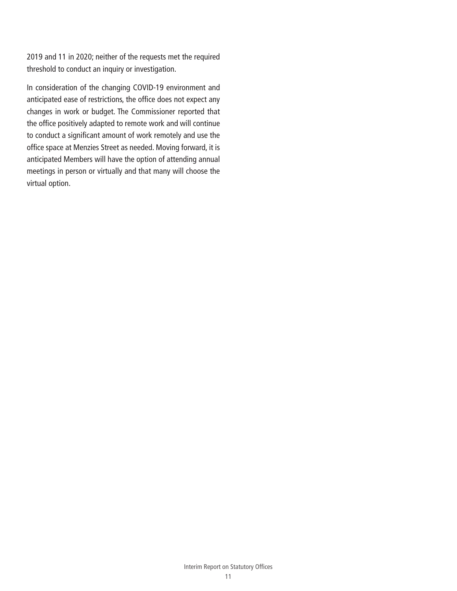2019 and 11 in 2020; neither of the requests met the required threshold to conduct an inquiry or investigation.

In consideration of the changing COVID-19 environment and anticipated ease of restrictions, the office does not expect any changes in work or budget. The Commissioner reported that the office positively adapted to remote work and will continue to conduct a significant amount of work remotely and use the office space at Menzies Street as needed. Moving forward, it is anticipated Members will have the option of attending annual meetings in person or virtually and that many will choose the virtual option.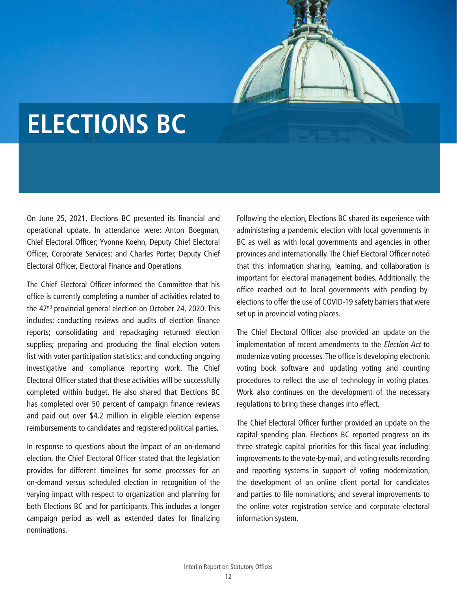### <span id="page-11-0"></span>**ELECTIONS BC**

On June 25, 2021, Elections BC presented its financial and operational update. In attendance were: Anton Boegman, Chief Electoral Officer; Yvonne Koehn, Deputy Chief Electoral Officer, Corporate Services; and Charles Porter, Deputy Chief Electoral Officer, Electoral Finance and Operations.

The Chief Electoral Officer informed the Committee that his office is currently completing a number of activities related to the 42<sup>nd</sup> provincial general election on October 24, 2020. This includes: conducting reviews and audits of election finance reports; consolidating and repackaging returned election supplies; preparing and producing the final election voters list with voter participation statistics; and conducting ongoing investigative and compliance reporting work. The Chief Electoral Officer stated that these activities will be successfully completed within budget. He also shared that Elections BC has completed over 50 percent of campaign finance reviews and paid out over \$4.2 million in eligible election expense reimbursements to candidates and registered political parties.

In response to questions about the impact of an on-demand election, the Chief Electoral Officer stated that the legislation provides for different timelines for some processes for an on-demand versus scheduled election in recognition of the varying impact with respect to organization and planning for both Elections BC and for participants. This includes a longer campaign period as well as extended dates for finalizing nominations.

Following the election, Elections BC shared its experience with administering a pandemic election with local governments in BC as well as with local governments and agencies in other provinces and internationally. The Chief Electoral Officer noted that this information sharing, learning, and collaboration is important for electoral management bodies. Additionally, the office reached out to local governments with pending byelections to offer the use of COVID-19 safety barriers that were set up in provincial voting places.

The Chief Electoral Officer also provided an update on the implementation of recent amendments to the Election Act to modernize voting processes. The office is developing electronic voting book software and updating voting and counting procedures to reflect the use of technology in voting places. Work also continues on the development of the necessary regulations to bring these changes into effect.

The Chief Electoral Officer further provided an update on the capital spending plan. Elections BC reported progress on its three strategic capital priorities for this fiscal year, including: improvements to the vote-by-mail, and voting results recording and reporting systems in support of voting modernization; the development of an online client portal for candidates and parties to file nominations; and several improvements to the online voter registration service and corporate electoral information system.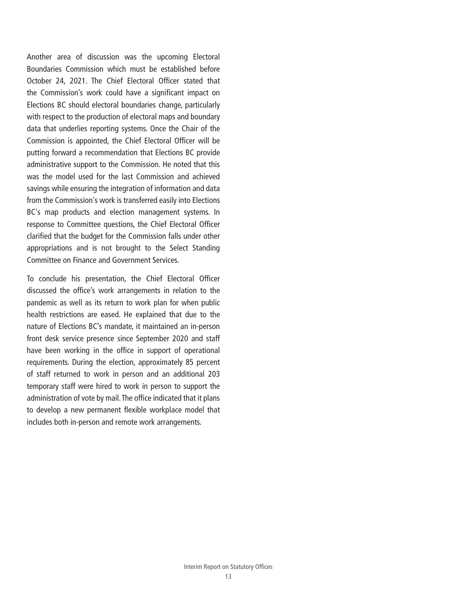Another area of discussion was the upcoming Electoral Boundaries Commission which must be established before October 24, 2021. The Chief Electoral Officer stated that the Commission's work could have a significant impact on Elections BC should electoral boundaries change, particularly with respect to the production of electoral maps and boundary data that underlies reporting systems. Once the Chair of the Commission is appointed, the Chief Electoral Officer will be putting forward a recommendation that Elections BC provide administrative support to the Commission. He noted that this was the model used for the last Commission and achieved savings while ensuring the integration of information and data from the Commission's work is transferred easily into Elections BC's map products and election management systems. In response to Committee questions, the Chief Electoral Officer clarified that the budget for the Commission falls under other appropriations and is not brought to the Select Standing Committee on Finance and Government Services.

To conclude his presentation, the Chief Electoral Officer discussed the office's work arrangements in relation to the pandemic as well as its return to work plan for when public health restrictions are eased. He explained that due to the nature of Elections BC's mandate, it maintained an in-person front desk service presence since September 2020 and staff have been working in the office in support of operational requirements. During the election, approximately 85 percent of staff returned to work in person and an additional 203 temporary staff were hired to work in person to support the administration of vote by mail. The office indicated that it plans to develop a new permanent flexible workplace model that includes both in-person and remote work arrangements.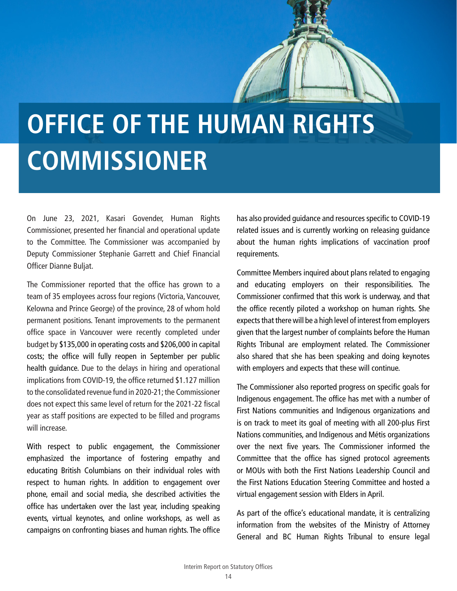# <span id="page-13-0"></span>**OFFICE OF THE HUMAN RIGHTS COMMISSIONER**

On June 23, 2021, Kasari Govender, Human Rights Commissioner, presented her financial and operational update to the Committee. The Commissioner was accompanied by Deputy Commissioner Stephanie Garrett and Chief Financial Officer Dianne Buljat.

The Commissioner reported that the office has grown to a team of 35 employees across four regions (Victoria, Vancouver, Kelowna and Prince George) of the province, 28 of whom hold permanent positions. Tenant improvements to the permanent office space in Vancouver were recently completed under budget by \$135,000 in operating costs and \$206,000 in capital costs; the office will fully reopen in September per public health guidance. Due to the delays in hiring and operational implications from COVID-19, the office returned \$1.127 million to the consolidated revenue fund in 2020-21; the Commissioner does not expect this same level of return for the 2021-22 fiscal year as staff positions are expected to be filled and programs will increase.

With respect to public engagement, the Commissioner emphasized the importance of fostering empathy and educating British Columbians on their individual roles with respect to human rights. In addition to engagement over phone, email and social media, she described activities the office has undertaken over the last year, including speaking events, virtual keynotes, and online workshops, as well as campaigns on confronting biases and human rights. The office has also provided guidance and resources specific to COVID-19 related issues and is currently working on releasing guidance about the human rights implications of vaccination proof requirements.

Committee Members inquired about plans related to engaging and educating employers on their responsibilities. The Commissioner confirmed that this work is underway, and that the office recently piloted a workshop on human rights. She expects that there will be a high level of interest from employers given that the largest number of complaints before the Human Rights Tribunal are employment related. The Commissioner also shared that she has been speaking and doing keynotes with employers and expects that these will continue.

The Commissioner also reported progress on specific goals for Indigenous engagement. The office has met with a number of First Nations communities and Indigenous organizations and is on track to meet its goal of meeting with all 200-plus First Nations communities, and Indigenous and Métis organizations over the next five years. The Commissioner informed the Committee that the office has signed protocol agreements or MOUs with both the First Nations Leadership Council and the First Nations Education Steering Committee and hosted a virtual engagement session with Elders in April.

As part of the office's educational mandate, it is centralizing information from the websites of the Ministry of Attorney General and BC Human Rights Tribunal to ensure legal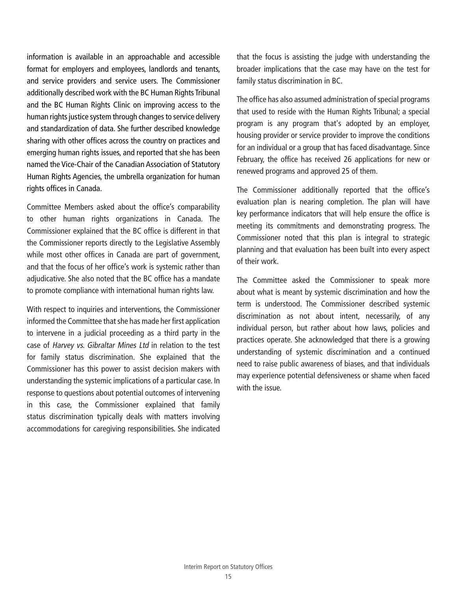information is available in an approachable and accessible format for employers and employees, landlords and tenants, and service providers and service users. The Commissioner additionally described work with the BC Human Rights Tribunal and the BC Human Rights Clinic on improving access to the human rights justice system through changes to service delivery and standardization of data. She further described knowledge sharing with other offices across the country on practices and emerging human rights issues, and reported that she has been named the Vice-Chair of the Canadian Association of Statutory Human Rights Agencies, the umbrella organization for human rights offices in Canada.

Committee Members asked about the office's comparability to other human rights organizations in Canada. The Commissioner explained that the BC office is different in that the Commissioner reports directly to the Legislative Assembly while most other offices in Canada are part of government, and that the focus of her office's work is systemic rather than adjudicative. She also noted that the BC office has a mandate to promote compliance with international human rights law.

With respect to inquiries and interventions, the Commissioner informed the Committee that she has made her first application to intervene in a judicial proceeding as a third party in the case of Harvey vs. Gibraltar Mines Ltd in relation to the test for family status discrimination. She explained that the Commissioner has this power to assist decision makers with understanding the systemic implications of a particular case. In response to questions about potential outcomes of intervening in this case, the Commissioner explained that family status discrimination typically deals with matters involving accommodations for caregiving responsibilities. She indicated that the focus is assisting the judge with understanding the broader implications that the case may have on the test for family status discrimination in BC.

The office has also assumed administration of special programs that used to reside with the Human Rights Tribunal; a special program is any program that's adopted by an employer, housing provider or service provider to improve the conditions for an individual or a group that has faced disadvantage. Since February, the office has received 26 applications for new or renewed programs and approved 25 of them.

The Commissioner additionally reported that the office's evaluation plan is nearing completion. The plan will have key performance indicators that will help ensure the office is meeting its commitments and demonstrating progress. The Commissioner noted that this plan is integral to strategic planning and that evaluation has been built into every aspect of their work.

The Committee asked the Commissioner to speak more about what is meant by systemic discrimination and how the term is understood. The Commissioner described systemic discrimination as not about intent, necessarily, of any individual person, but rather about how laws, policies and practices operate. She acknowledged that there is a growing understanding of systemic discrimination and a continued need to raise public awareness of biases, and that individuals may experience potential defensiveness or shame when faced with the issue.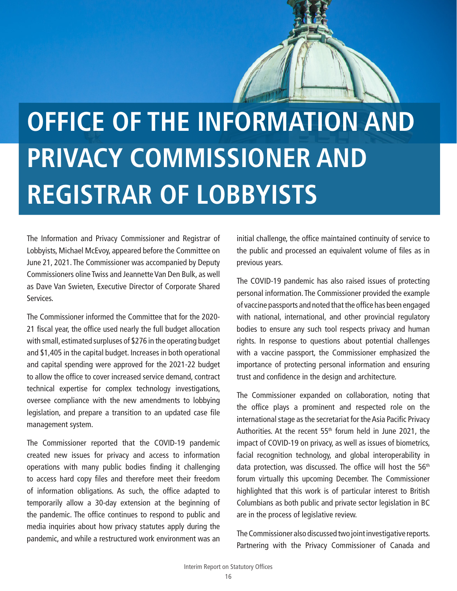# <span id="page-15-0"></span>**OFFICE OF THE INFORMATION AND PRIVACY COMMISSIONER AND REGISTRAR OF LOBBYISTS**

The Information and Privacy Commissioner and Registrar of Lobbyists, Michael McEvoy, appeared before the Committee on June 21, 2021. The Commissioner was accompanied by Deputy Commissioners oline Twiss and Jeannette Van Den Bulk, as well as Dave Van Swieten, Executive Director of Corporate Shared Services.

The Commissioner informed the Committee that for the 2020- 21 fiscal year, the office used nearly the full budget allocation with small, estimated surpluses of \$276 in the operating budget and \$1,405 in the capital budget. Increases in both operational and capital spending were approved for the 2021-22 budget to allow the office to cover increased service demand, contract technical expertise for complex technology investigations, oversee compliance with the new amendments to lobbying legislation, and prepare a transition to an updated case file management system.

The Commissioner reported that the COVID-19 pandemic created new issues for privacy and access to information operations with many public bodies finding it challenging to access hard copy files and therefore meet their freedom of information obligations. As such, the office adapted to temporarily allow a 30-day extension at the beginning of the pandemic. The office continues to respond to public and media inquiries about how privacy statutes apply during the pandemic, and while a restructured work environment was an

initial challenge, the office maintained continuity of service to the public and processed an equivalent volume of files as in previous years.

The COVID-19 pandemic has also raised issues of protecting personal information. The Commissioner provided the example of vaccine passports and noted that the office has been engaged with national, international, and other provincial regulatory bodies to ensure any such tool respects privacy and human rights. In response to questions about potential challenges with a vaccine passport, the Commissioner emphasized the importance of protecting personal information and ensuring trust and confidence in the design and architecture.

The Commissioner expanded on collaboration, noting that the office plays a prominent and respected role on the international stage as the secretariat for the Asia Pacific Privacy Authorities. At the recent  $55<sup>th</sup>$  forum held in June 2021, the impact of COVID-19 on privacy, as well as issues of biometrics, facial recognition technology, and global interoperability in data protection, was discussed. The office will host the 56<sup>th</sup> forum virtually this upcoming December. The Commissioner highlighted that this work is of particular interest to British Columbians as both public and private sector legislation in BC are in the process of legislative review.

The Commissioner also discussed two joint investigative reports. Partnering with the Privacy Commissioner of Canada and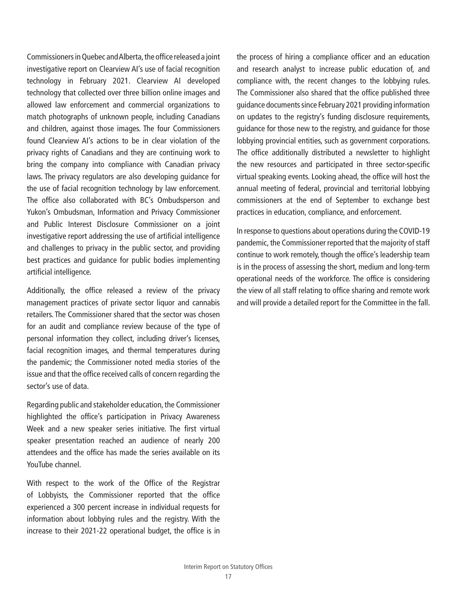Commissioners in Quebec and Alberta, the office released a joint investigative report on Clearview AI's use of facial recognition technology in February 2021. Clearview AI developed technology that collected over three billion online images and allowed law enforcement and commercial organizations to match photographs of unknown people, including Canadians and children, against those images. The four Commissioners found Clearview AI's actions to be in clear violation of the privacy rights of Canadians and they are continuing work to bring the company into compliance with Canadian privacy laws. The privacy regulators are also developing guidance for the use of facial recognition technology by law enforcement. The office also collaborated with BC's Ombudsperson and Yukon's Ombudsman, Information and Privacy Commissioner and Public Interest Disclosure Commissioner on a joint investigative report addressing the use of artificial intelligence and challenges to privacy in the public sector, and providing best practices and guidance for public bodies implementing artificial intelligence.

Additionally, the office released a review of the privacy management practices of private sector liquor and cannabis retailers. The Commissioner shared that the sector was chosen for an audit and compliance review because of the type of personal information they collect, including driver's licenses, facial recognition images, and thermal temperatures during the pandemic; the Commissioner noted media stories of the issue and that the office received calls of concern regarding the sector's use of data.

Regarding public and stakeholder education, the Commissioner highlighted the office's participation in Privacy Awareness Week and a new speaker series initiative. The first virtual speaker presentation reached an audience of nearly 200 attendees and the office has made the series available on its YouTube channel.

With respect to the work of the Office of the Registrar of Lobbyists, the Commissioner reported that the office experienced a 300 percent increase in individual requests for information about lobbying rules and the registry. With the increase to their 2021-22 operational budget, the office is in the process of hiring a compliance officer and an education and research analyst to increase public education of, and compliance with, the recent changes to the lobbying rules. The Commissioner also shared that the office published three guidance documents since February 2021 providing information on updates to the registry's funding disclosure requirements, guidance for those new to the registry, and guidance for those lobbying provincial entities, such as government corporations. The office additionally distributed a newsletter to highlight the new resources and participated in three sector-specific virtual speaking events. Looking ahead, the office will host the annual meeting of federal, provincial and territorial lobbying commissioners at the end of September to exchange best practices in education, compliance, and enforcement.

In response to questions about operations during the COVID-19 pandemic, the Commissioner reported that the majority of staff continue to work remotely, though the office's leadership team is in the process of assessing the short, medium and long-term operational needs of the workforce. The office is considering the view of all staff relating to office sharing and remote work and will provide a detailed report for the Committee in the fall.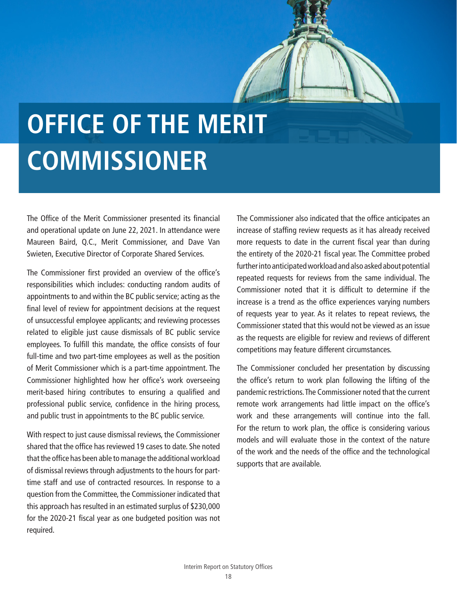# <span id="page-17-0"></span>**OFFICE OF THE MERIT COMMISSIONER**

The Office of the Merit Commissioner presented its financial and operational update on June 22, 2021. In attendance were Maureen Baird, Q.C., Merit Commissioner, and Dave Van Swieten, Executive Director of Corporate Shared Services.

The Commissioner first provided an overview of the office's responsibilities which includes: conducting random audits of appointments to and within the BC public service; acting as the final level of review for appointment decisions at the request of unsuccessful employee applicants; and reviewing processes related to eligible just cause dismissals of BC public service employees. To fulfill this mandate, the office consists of four full-time and two part-time employees as well as the position of Merit Commissioner which is a part-time appointment. The Commissioner highlighted how her office's work overseeing merit-based hiring contributes to ensuring a qualified and professional public service, confidence in the hiring process, and public trust in appointments to the BC public service.

With respect to just cause dismissal reviews, the Commissioner shared that the office has reviewed 19 cases to date. She noted that the office has been able to manage the additional workload of dismissal reviews through adjustments to the hours for parttime staff and use of contracted resources. In response to a question from the Committee, the Commissioner indicated that this approach has resulted in an estimated surplus of \$230,000 for the 2020-21 fiscal year as one budgeted position was not required.

The Commissioner also indicated that the office anticipates an increase of staffing review requests as it has already received more requests to date in the current fiscal year than during the entirety of the 2020-21 fiscal year. The Committee probed further into anticipated workload and also asked about potential repeated requests for reviews from the same individual. The Commissioner noted that it is difficult to determine if the increase is a trend as the office experiences varying numbers of requests year to year. As it relates to repeat reviews, the Commissioner stated that this would not be viewed as an issue as the requests are eligible for review and reviews of different competitions may feature different circumstances.

The Commissioner concluded her presentation by discussing the office's return to work plan following the lifting of the pandemic restrictions. The Commissioner noted that the current remote work arrangements had little impact on the office's work and these arrangements will continue into the fall. For the return to work plan, the office is considering various models and will evaluate those in the context of the nature of the work and the needs of the office and the technological supports that are available.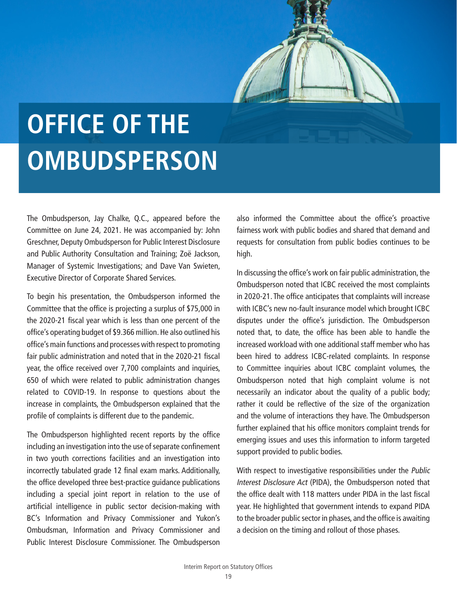

# <span id="page-18-0"></span>**OFFICE OF THE OMBUDSPERSON**

The Ombudsperson, Jay Chalke, Q.C., appeared before the Committee on June 24, 2021. He was accompanied by: John Greschner, Deputy Ombudsperson for Public Interest Disclosure and Public Authority Consultation and Training; Zoë Jackson, Manager of Systemic Investigations; and Dave Van Swieten, Executive Director of Corporate Shared Services.

To begin his presentation, the Ombudsperson informed the Committee that the office is projecting a surplus of \$75,000 in the 2020-21 fiscal year which is less than one percent of the office's operating budget of \$9.366 million. He also outlined his office's main functions and processes with respect to promoting fair public administration and noted that in the 2020-21 fiscal year, the office received over 7,700 complaints and inquiries, 650 of which were related to public administration changes related to COVID-19. In response to questions about the increase in complaints, the Ombudsperson explained that the profile of complaints is different due to the pandemic.

The Ombudsperson highlighted recent reports by the office including an investigation into the use of separate confinement in two youth corrections facilities and an investigation into incorrectly tabulated grade 12 final exam marks. Additionally, the office developed three best-practice guidance publications including a special joint report in relation to the use of artificial intelligence in public sector decision-making with BC's Information and Privacy Commissioner and Yukon's Ombudsman, Information and Privacy Commissioner and Public Interest Disclosure Commissioner. The Ombudsperson

also informed the Committee about the office's proactive fairness work with public bodies and shared that demand and requests for consultation from public bodies continues to be high.

In discussing the office's work on fair public administration, the Ombudsperson noted that ICBC received the most complaints in 2020-21. The office anticipates that complaints will increase with ICBC's new no-fault insurance model which brought ICBC disputes under the office's jurisdiction. The Ombudsperson noted that, to date, the office has been able to handle the increased workload with one additional staff member who has been hired to address ICBC-related complaints. In response to Committee inquiries about ICBC complaint volumes, the Ombudsperson noted that high complaint volume is not necessarily an indicator about the quality of a public body; rather it could be reflective of the size of the organization and the volume of interactions they have. The Ombudsperson further explained that his office monitors complaint trends for emerging issues and uses this information to inform targeted support provided to public bodies.

With respect to investigative responsibilities under the *Public* Interest Disclosure Act (PIDA), the Ombudsperson noted that the office dealt with 118 matters under PIDA in the last fiscal year. He highlighted that government intends to expand PIDA to the broader public sector in phases, and the office is awaiting a decision on the timing and rollout of those phases.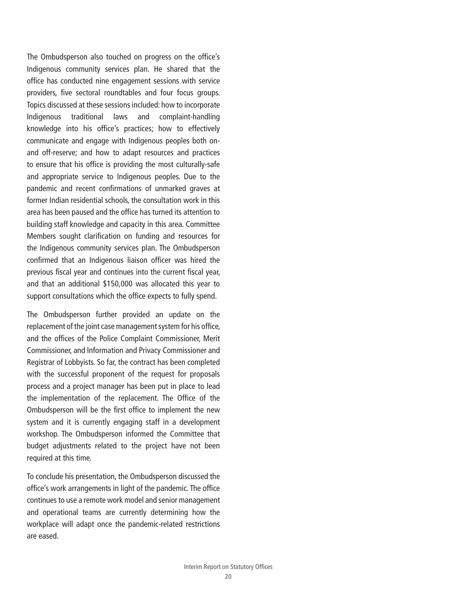The Ombudsperson also touched on progress on the office's Indigenous community services plan. He shared that the office has conducted nine engagement sessions with service providers, five sectoral roundtables and four focus groups. Topics discussed at these sessions included: how to incorporate Indigenous traditional laws and complaint-handling knowledge into his office's practices; how to effectively communicate and engage with Indigenous peoples both onand off-reserve; and how to adapt resources and practices to ensure that his office is providing the most culturally-safe and appropriate service to Indigenous peoples. Due to the pandemic and recent confirmations of unmarked graves at former Indian residential schools, the consultation work in this area has been paused and the office has turned its attention to building staff knowledge and capacity in this area. Committee Members sought clarification on funding and resources for the Indigenous community services plan. The Ombudsperson confirmed that an Indigenous liaison officer was hired the previous fiscal year and continues into the current fiscal year, and that an additional \$150,000 was allocated this year to support consultations which the office expects to fully spend.

The Ombudsperson further provided an update on the replacement of the joint case management system for his office, and the offices of the Police Complaint Commissioner, Merit Commissioner, and Information and Privacy Commissioner and Registrar of Lobbyists. So far, the contract has been completed with the successful proponent of the request for proposals process and a project manager has been put in place to lead the implementation of the replacement. The Office of the Ombudsperson will be the first office to implement the new system and it is currently engaging staff in a development workshop. The Ombudsperson informed the Committee that budget adjustments related to the project have not been required at this time.

To conclude his presentation, the Ombudsperson discussed the office's work arrangements in light of the pandemic. The office continues to use a remote work model and senior management and operational teams are currently determining how the workplace will adapt once the pandemic-related restrictions are eased.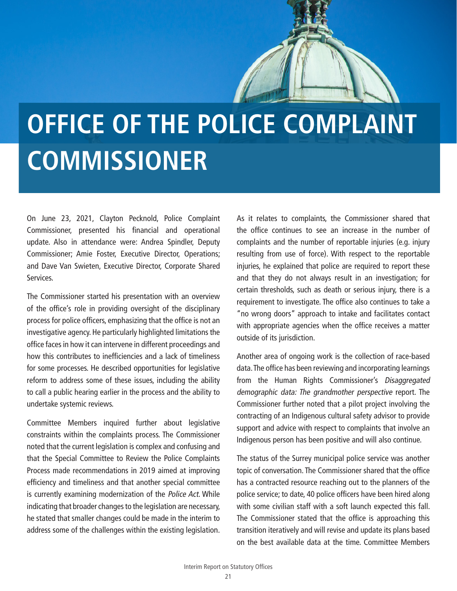# <span id="page-20-0"></span>**OFFICE OF THE POLICE COMPLAINT COMMISSIONER**

On June 23, 2021, Clayton Pecknold, Police Complaint Commissioner, presented his financial and operational update. Also in attendance were: Andrea Spindler, Deputy Commissioner; Amie Foster, Executive Director, Operations; and Dave Van Swieten, Executive Director, Corporate Shared Services.

The Commissioner started his presentation with an overview of the office's role in providing oversight of the disciplinary process for police officers, emphasizing that the office is not an investigative agency. He particularly highlighted limitations the office faces in how it can intervene in different proceedings and how this contributes to inefficiencies and a lack of timeliness for some processes. He described opportunities for legislative reform to address some of these issues, including the ability to call a public hearing earlier in the process and the ability to undertake systemic reviews.

Committee Members inquired further about legislative constraints within the complaints process. The Commissioner noted that the current legislation is complex and confusing and that the Special Committee to Review the Police Complaints Process made recommendations in 2019 aimed at improving efficiency and timeliness and that another special committee is currently examining modernization of the Police Act. While indicating that broader changes to the legislation are necessary, he stated that smaller changes could be made in the interim to address some of the challenges within the existing legislation.

As it relates to complaints, the Commissioner shared that the office continues to see an increase in the number of complaints and the number of reportable injuries (e.g. injury resulting from use of force). With respect to the reportable injuries, he explained that police are required to report these and that they do not always result in an investigation; for certain thresholds, such as death or serious injury, there is a requirement to investigate. The office also continues to take a "no wrong doors" approach to intake and facilitates contact with appropriate agencies when the office receives a matter outside of its jurisdiction.

Another area of ongoing work is the collection of race-based data. The office has been reviewing and incorporating learnings from the Human Rights Commissioner's Disaggregated demographic data: The grandmother perspective report. The Commissioner further noted that a pilot project involving the contracting of an Indigenous cultural safety advisor to provide support and advice with respect to complaints that involve an Indigenous person has been positive and will also continue.

The status of the Surrey municipal police service was another topic of conversation. The Commissioner shared that the office has a contracted resource reaching out to the planners of the police service; to date, 40 police officers have been hired along with some civilian staff with a soft launch expected this fall. The Commissioner stated that the office is approaching this transition iteratively and will revise and update its plans based on the best available data at the time. Committee Members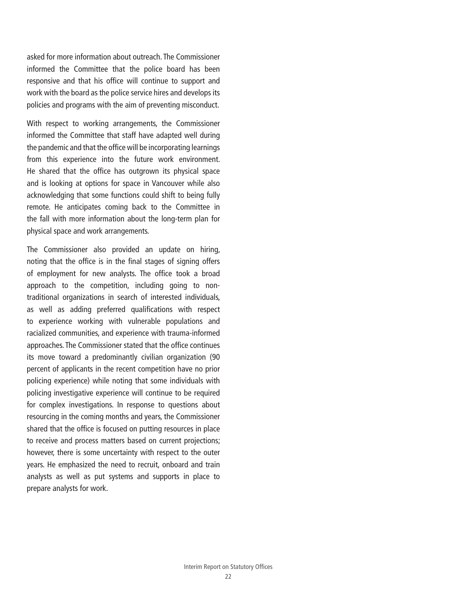asked for more information about outreach. The Commissioner informed the Committee that the police board has been responsive and that his office will continue to support and work with the board as the police service hires and develops its policies and programs with the aim of preventing misconduct.

With respect to working arrangements, the Commissioner informed the Committee that staff have adapted well during the pandemic and that the office will be incorporating learnings from this experience into the future work environment. He shared that the office has outgrown its physical space and is looking at options for space in Vancouver while also acknowledging that some functions could shift to being fully remote. He anticipates coming back to the Committee in the fall with more information about the long-term plan for physical space and work arrangements.

The Commissioner also provided an update on hiring, noting that the office is in the final stages of signing offers of employment for new analysts. The office took a broad approach to the competition, including going to nontraditional organizations in search of interested individuals, as well as adding preferred qualifications with respect to experience working with vulnerable populations and racialized communities, and experience with trauma-informed approaches. The Commissioner stated that the office continues its move toward a predominantly civilian organization (90 percent of applicants in the recent competition have no prior policing experience) while noting that some individuals with policing investigative experience will continue to be required for complex investigations. In response to questions about resourcing in the coming months and years, the Commissioner shared that the office is focused on putting resources in place to receive and process matters based on current projections; however, there is some uncertainty with respect to the outer years. He emphasized the need to recruit, onboard and train analysts as well as put systems and supports in place to prepare analysts for work.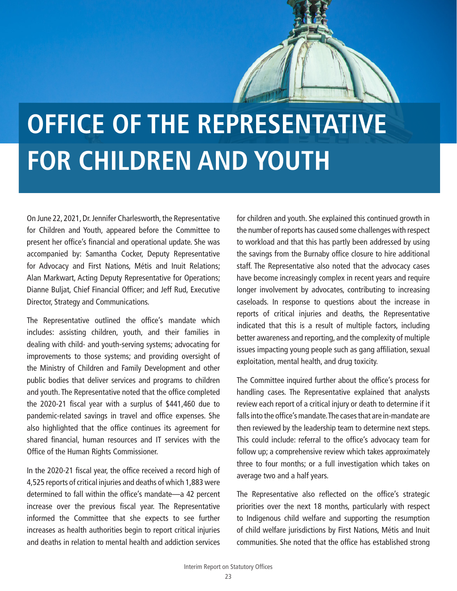# <span id="page-22-0"></span>**OFFICE OF THE REPRESENTATIVE FOR CHILDREN AND YOUTH**

On June 22, 2021, Dr. Jennifer Charlesworth, the Representative for Children and Youth, appeared before the Committee to present her office's financial and operational update. She was accompanied by: Samantha Cocker, Deputy Representative for Advocacy and First Nations, Métis and Inuit Relations; Alan Markwart, Acting Deputy Representative for Operations; Dianne Buljat, Chief Financial Officer; and Jeff Rud, Executive Director, Strategy and Communications.

The Representative outlined the office's mandate which includes: assisting children, youth, and their families in dealing with child- and youth-serving systems; advocating for improvements to those systems; and providing oversight of the Ministry of Children and Family Development and other public bodies that deliver services and programs to children and youth. The Representative noted that the office completed the 2020-21 fiscal year with a surplus of \$441,460 due to pandemic-related savings in travel and office expenses. She also highlighted that the office continues its agreement for shared financial, human resources and IT services with the Office of the Human Rights Commissioner.

In the 2020-21 fiscal year, the office received a record high of 4,525 reports of critical injuries and deaths of which 1,883 were determined to fall within the office's mandate—a 42 percent increase over the previous fiscal year. The Representative informed the Committee that she expects to see further increases as health authorities begin to report critical injuries and deaths in relation to mental health and addiction services

for children and youth. She explained this continued growth in the number of reports has caused some challenges with respect to workload and that this has partly been addressed by using the savings from the Burnaby office closure to hire additional staff. The Representative also noted that the advocacy cases have become increasingly complex in recent years and require longer involvement by advocates, contributing to increasing caseloads. In response to questions about the increase in reports of critical injuries and deaths, the Representative indicated that this is a result of multiple factors, including better awareness and reporting, and the complexity of multiple issues impacting young people such as gang affiliation, sexual exploitation, mental health, and drug toxicity.

The Committee inquired further about the office's process for handling cases. The Representative explained that analysts review each report of a critical injury or death to determine if it falls into the office's mandate. The cases that are in-mandate are then reviewed by the leadership team to determine next steps. This could include: referral to the office's advocacy team for follow up; a comprehensive review which takes approximately three to four months; or a full investigation which takes on average two and a half years.

The Representative also reflected on the office's strategic priorities over the next 18 months, particularly with respect to Indigenous child welfare and supporting the resumption of child welfare jurisdictions by First Nations, Métis and Inuit communities. She noted that the office has established strong